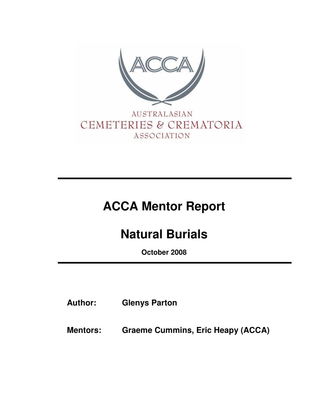

# **AUSTRALASIAN** CEMETERIES & CREMATORIA ASSOCIATION

# **ACCA Mentor Report**

# **Natural Burials**

**October 2008** 

**Author: Glenys Parton** 

**Mentors: Graeme Cummins, Eric Heapy (ACCA)**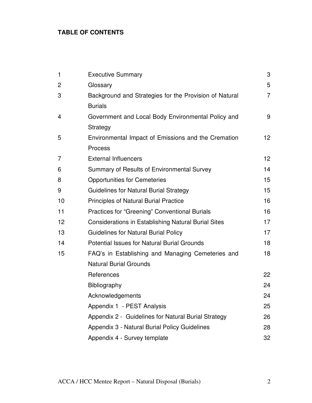# **TABLE OF CONTENTS**

| 1              | <b>Executive Summary</b>                                   | 3               |
|----------------|------------------------------------------------------------|-----------------|
| $\overline{c}$ | Glossary                                                   | 5               |
| 3              | Background and Strategies for the Provision of Natural     | $\overline{7}$  |
|                | <b>Burials</b>                                             |                 |
| 4              | Government and Local Body Environmental Policy and         | 9               |
|                | Strategy                                                   |                 |
| 5              | Environmental Impact of Emissions and the Cremation        | 12 <sub>2</sub> |
|                | Process                                                    |                 |
| 7              | <b>External Influencers</b>                                | 12 <sub>2</sub> |
| 6              | Summary of Results of Environmental Survey                 | 14              |
| 8              | <b>Opportunities for Cemeteries</b>                        | 15              |
| 9              | <b>Guidelines for Natural Burial Strategy</b>              | 15              |
| 10             | <b>Principles of Natural Burial Practice</b>               | 16              |
| 11             | <b>Practices for "Greening" Conventional Burials</b>       | 16              |
| 12             | <b>Considerations in Establishing Natural Burial Sites</b> | 17              |
| 13             | <b>Guidelines for Natural Burial Policy</b>                | 17              |
| 14             | <b>Potential Issues for Natural Burial Grounds</b>         | 18              |
| 15             | FAQ's in Establishing and Managing Cemeteries and          | 18              |
|                | <b>Natural Burial Grounds</b>                              |                 |
|                | References                                                 | 22              |
|                | Bibliography                                               | 24              |
|                | Acknowledgements                                           | 24              |
|                | Appendix 1 - PEST Analysis                                 | 25              |
|                | Appendix 2 - Guidelines for Natural Burial Strategy        | 26              |
|                | Appendix 3 - Natural Burial Policy Guidelines              | 28              |
|                | Appendix 4 - Survey template                               | 32              |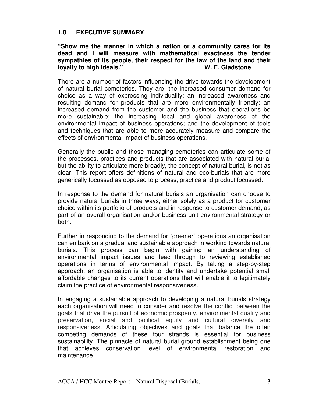#### **1.0 EXECUTIVE SUMMARY**

#### **"Show me the manner in which a nation or a community cares for its dead and I will measure with mathematical exactness the tender sympathies of its people, their respect for the law of the land and their loyalty to high ideals." W. E. Gladstone**

There are a number of factors influencing the drive towards the development of natural burial cemeteries. They are; the increased consumer demand for choice as a way of expressing individuality; an increased awareness and resulting demand for products that are more environmentally friendly; an increased demand from the customer and the business that operations be more sustainable; the increasing local and global awareness of the environmental impact of business operations; and the development of tools and techniques that are able to more accurately measure and compare the effects of environmental impact of business operations.

Generally the public and those managing cemeteries can articulate some of the processes, practices and products that are associated with natural burial but the ability to articulate more broadly, the concept of natural burial, is not as clear. This report offers definitions of natural and eco-burials that are more generically focussed as opposed to process, practice and product focussed.

In response to the demand for natural burials an organisation can choose to provide natural burials in three ways; either solely as a product for customer choice within its portfolio of products and in response to customer demand; as part of an overall organisation and/or business unit environmental strategy or both.

Further in responding to the demand for "greener" operations an organisation can embark on a gradual and sustainable approach in working towards natural burials. This process can begin with gaining an understanding of environmental impact issues and lead through to reviewing established operations in terms of environmental impact. By taking a step-by-step approach, an organisation is able to identify and undertake potential small affordable changes to its current operations that will enable it to legitimately claim the practice of environmental responsiveness.

In engaging a sustainable approach to developing a natural burials strategy each organisation will need to consider and resolve the conflict between the goals that drive the pursuit of economic prosperity, environmental quality and preservation, social and political equity and cultural diversity and responsiveness. Articulating objectives and goals that balance the often competing demands of these four strands is essential for business sustainability. The pinnacle of natural burial ground establishment being one that achieves conservation level of environmental restoration and maintenance.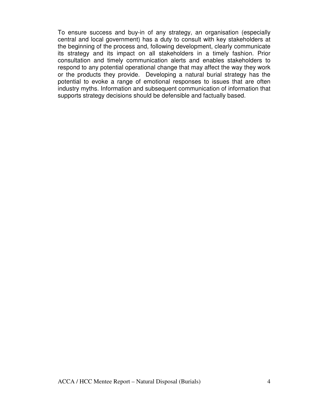To ensure success and buy-in of any strategy, an organisation (especially central and local government) has a duty to consult with key stakeholders at the beginning of the process and, following development, clearly communicate its strategy and its impact on all stakeholders in a timely fashion. Prior consultation and timely communication alerts and enables stakeholders to respond to any potential operational change that may affect the way they work or the products they provide. Developing a natural burial strategy has the potential to evoke a range of emotional responses to issues that are often industry myths. Information and subsequent communication of information that supports strategy decisions should be defensible and factually based.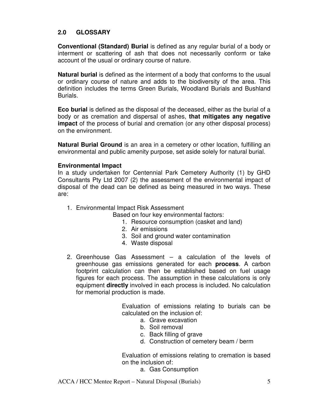# **2.0 GLOSSARY**

**Conventional (Standard) Burial** is defined as any regular burial of a body or interment or scattering of ash that does not necessarily conform or take account of the usual or ordinary course of nature.

**Natural burial** is defined as the interment of a body that conforms to the usual or ordinary course of nature and adds to the biodiversity of the area. This definition includes the terms Green Burials, Woodland Burials and Bushland Burials.

**Eco burial** is defined as the disposal of the deceased, either as the burial of a body or as cremation and dispersal of ashes, **that mitigates any negative impact** of the process of burial and cremation (or any other disposal process) on the environment.

**Natural Burial Ground** is an area in a cemetery or other location, fulfilling an environmental and public amenity purpose, set aside solely for natural burial.

#### **Environmental Impact**

In a study undertaken for Centennial Park Cemetery Authority (1) by GHD Consultants Pty Ltd 2007 (2) the assessment of the environmental impact of disposal of the dead can be defined as being measured in two ways. These are:

1. Environmental Impact Risk Assessment

Based on four key environmental factors:

- 1. Resource consumption (casket and land)
- 2. Air emissions
- 3. Soil and ground water contamination
- 4. Waste disposal
- 2. Greenhouse Gas Assessment a calculation of the levels of greenhouse gas emissions generated for each **process**. A carbon footprint calculation can then be established based on fuel usage figures for each process. The assumption in these calculations is only equipment **directly** involved in each process is included. No calculation for memorial production is made.

Evaluation of emissions relating to burials can be calculated on the inclusion of:

- a. Grave excavation
- b. Soil removal
- c. Back filling of grave
- d. Construction of cemetery beam / berm

Evaluation of emissions relating to cremation is based on the inclusion of:

a. Gas Consumption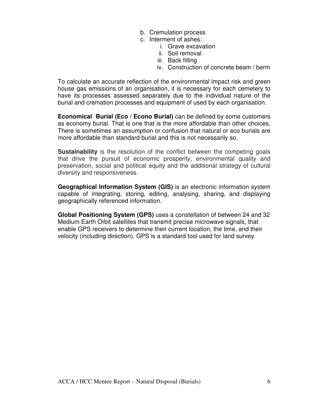- b. Cremulation process
- c. Interment of ashes:
	- i. Grave excavation
	- ii. Soil removal
	- iii. Back filling
	- iv. Construction of concrete beam / berm

To calculate an accurate reflection of the environmental impact risk and green house gas emissions of an organisation, it is necessary for each cemetery to have its processes assessed separately due to the individual nature of the burial and cremation processes and equipment of used by each organisation.

**Economical Burial (Eco / Econo Burial)** can be defined by some customers as economy burial. That is one that is the more affordable than other choices. There is sometimes an assumption or confusion that natural or eco burials are more affordable than standard burial and this is not necessarily so.

**Sustainability** is the resolution of the conflict between the competing goals that drive the pursuit of economic prosperity, environmental quality and preservation, social and political equity and the additional strategy of cultural diversity and responsiveness.

**Geographical Information System (GIS)** is an electronic information system capable of integrating, storing, editing, analysing, sharing, and displaying geographically referenced information.

**Global Positioning System (GPS)** uses a constellation of between 24 and 32 Medium Earth Orbit satellites that transmit precise microwave signals, that enable GPS receivers to determine their current location, the time, and their velocity (including direction). GPS is a standard tool used for land survey.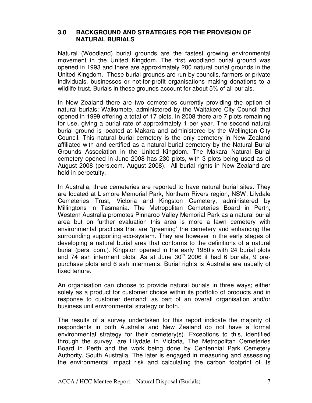#### **3.0 BACKGROUND AND STRATEGIES FOR THE PROVISION OF NATURAL BURIALS**

Natural (Woodland) burial grounds are the fastest growing environmental movement in the United Kingdom. The first woodland burial ground was opened in 1993 and there are approximately 200 natural burial grounds in the United Kingdom. These burial grounds are run by councils, farmers or private individuals, businesses or not-for-profit organisations making donations to a wildlife trust. Burials in these grounds account for about 5% of all burials.

In New Zealand there are two cemeteries currently providing the option of natural burials; Waikumete, administered by the Waitakere City Council that opened in 1999 offering a total of 17 plots. In 2008 there are 7 plots remaining for use, giving a burial rate of approximately 1 per year. The second natural burial ground is located at Makara and administered by the Wellington City Council. This natural burial cemetery is the only cemetery in New Zealand affiliated with and certified as a natural burial cemetery by the Natural Burial Grounds Association in the United Kingdom. The Makara Natural Burial cemetery opened in June 2008 has 230 plots, with 3 plots being used as of August 2008 (pers.com. August 2008). All burial rights in New Zealand are held in perpetuity.

In Australia, three cemeteries are reported to have natural burial sites. They are located at Lismore Memorial Park, Northern Rivers region, NSW; Lilydale Cemeteries Trust, Victoria and Kingston Cemetery, administered by Millingtons in Tasmania. The Metropolitan Cemeteries Board in Perth, Western Australia promotes Pinnaroo Valley Memorial Park as a natural burial area but on further evaluation this area is more a lawn cemetery with environmental practices that are "greening' the cemetery and enhancing the surrounding supporting eco-system. They are however in the early stages of developing a natural burial area that conforms to the definitions of a natural burial (pers. com.). Kingston opened in the early 1980's with 24 burial plots and 74 ash interment plots. As at June  $30<sup>th</sup>$  2006 it had 6 burials, 9 prepurchase plots and 6 ash interments. Burial rights is Australia are usually of fixed tenure.

An organisation can choose to provide natural burials in three ways; either solely as a product for customer choice within its portfolio of products and in response to customer demand; as part of an overall organisation and/or business unit environmental strategy or both.

The results of a survey undertaken for this report indicate the majority of respondents in both Australia and New Zealand do not have a formal environmental strategy for their cemetery(s). Exceptions to this, identified through the survey, are Lilydale in Victoria, The Metropolitan Cemeteries Board in Perth and the work being done by Centennial Park Cemetery Authority, South Australia. The later is engaged in measuring and assessing the environmental impact risk and calculating the carbon footprint of its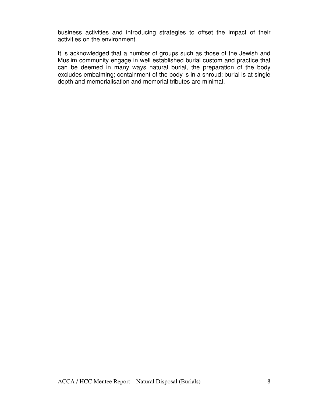business activities and introducing strategies to offset the impact of their activities on the environment.

It is acknowledged that a number of groups such as those of the Jewish and Muslim community engage in well established burial custom and practice that can be deemed in many ways natural burial, the preparation of the body excludes embalming; containment of the body is in a shroud; burial is at single depth and memorialisation and memorial tributes are minimal.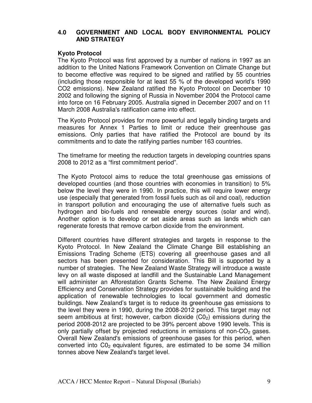#### **4.0 GOVERNMENT AND LOCAL BODY ENVIRONMENTAL POLICY AND STRATEGY**

#### **Kyoto Protocol**

The Kyoto Protocol was first approved by a number of nations in 1997 as an addition to the United Nations Framework Convention on Climate Change but to become effective was required to be signed and ratified by 55 countries (including those responsible for at least 55 % of the developed world's 1990 CO2 emissions). New Zealand ratified the Kyoto Protocol on December 10 2002 and following the signing of Russia in November 2004 the Protocol came into force on 16 February 2005. Australia signed in December 2007 and on 11 March 2008 Australia's ratification came into effect.

The Kyoto Protocol provides for more powerful and legally binding targets and measures for Annex 1 Parties to limit or reduce their greenhouse gas emissions. Only parties that have ratified the Protocol are bound by its commitments and to date the ratifying parties number 163 countries.

The timeframe for meeting the reduction targets in developing countries spans 2008 to 2012 as a "first commitment period".

The Kyoto Protocol aims to reduce the total greenhouse gas emissions of developed counties (and those countries with economies in transition) to 5% below the level they were in 1990. In practice, this will require lower energy use (especially that generated from fossil fuels such as oil and coal), reduction in transport pollution and encouraging the use of alternative fuels such as hydrogen and bio-fuels and renewable energy sources (solar and wind). Another option is to develop or set aside areas such as lands which can regenerate forests that remove carbon dioxide from the environment.

Different countries have different strategies and targets in response to the Kyoto Protocol. In New Zealand the Climate Change Bill establishing an Emissions Trading Scheme (ETS) covering all greenhouse gases and all sectors has been presented for consideration. This Bill is supported by a number of strategies. The New Zealand Waste Strategy will introduce a waste levy on all waste disposed at landfill and the Sustainable Land Management will administer an Afforestation Grants Scheme. The New Zealand Energy Efficiency and Conservation Strategy provides for sustainable building and the application of renewable technologies to local government and domestic buildings. New Zealand's target is to reduce its greenhouse gas emissions to the level they were in 1990, during the 2008-2012 period. This target may not seem ambitious at first; however, carbon dioxide  $(C_2)$  emissions during the period 2008-2012 are projected to be 39% percent above 1990 levels. This is only partially offset by projected reductions in emissions of non- $CO<sub>2</sub>$  gases. Overall New Zealand's emissions of greenhouse gases for this period, when converted into  $CO<sub>2</sub>$  equivalent figures, are estimated to be some 34 million tonnes above New Zealand's target level.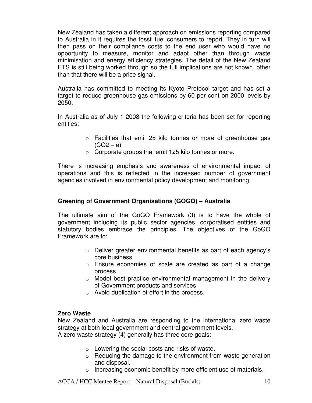New Zealand has taken a different approach on emissions reporting compared to Australia in it requires the fossil fuel consumers to report. They in turn will then pass on their compliance costs to the end user who would have no opportunity to measure, monitor and adapt other than through waste minimisation and energy efficiency strategies. The detail of the New Zealand ETS is still being worked through so the full implications are not known, other than that there will be a price signal.

Australia has committed to meeting its Kyoto Protocol target and has set a target to reduce greenhouse gas emissions by 60 per cent on 2000 levels by 2050.

In Australia as of July 1 2008 the following criteria has been set for reporting entities:

- o Facilities that emit 25 kilo tonnes or more of greenhouse gas  $(CO2 - e)$
- o Corporate groups that emit 125 kilo tonnes or more.

There is increasing emphasis and awareness of environmental impact of operations and this is reflected in the increased number of government agencies involved in environmental policy development and monitoring.

#### **Greening of Government Organisations (GOGO) – Australia**

The ultimate aim of the GoGO Framework (3) is to have the whole of government including its public sector agencies, corporatised entities and statutory bodies embrace the principles. The objectives of the GoGO Framework are to:

- o Deliver greater environmental benefits as part of each agency's core business
- o Ensure economies of scale are created as part of a change process
- o Model best practice environmental management in the delivery of Government products and services
- o Avoid duplication of effort in the process.

#### **Zero Waste**

New Zealand and Australia are responding to the international zero waste strategy at both local government and central government levels. A zero waste strategy (4) generally has three core goals:

- o Lowering the social costs and risks of waste,
- o Reducing the damage to the environment from waste generation and disposal.
- o Increasing economic benefit by more efficient use of materials.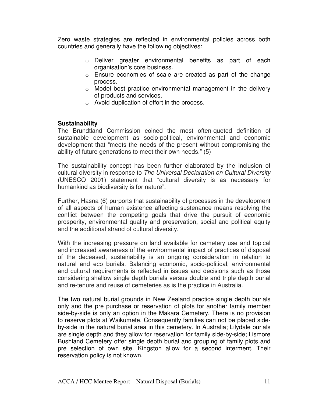Zero waste strategies are reflected in environmental policies across both countries and generally have the following objectives:

- o Deliver greater environmental benefits as part of each organisation's core business.
- o Ensure economies of scale are created as part of the change process.
- o Model best practice environmental management in the delivery of products and services.
- o Avoid duplication of effort in the process.

#### **Sustainability**

The Brundtland Commission coined the most often-quoted definition of sustainable development as socio-political, environmental and economic development that "meets the needs of the present without compromising the ability of future generations to meet their own needs." (5)

The sustainability concept has been further elaborated by the inclusion of cultural diversity in response to The Universal Declaration on Cultural Diversity (UNESCO 2001) statement that "cultural diversity is as necessary for humankind as biodiversity is for nature".

Further, Hasna (6) purports that sustainability of processes in the development of all aspects of human existence affecting sustenance means resolving the conflict between the competing goals that drive the pursuit of economic prosperity, environmental quality and preservation, social and political equity and the additional strand of cultural diversity.

With the increasing pressure on land available for cemetery use and topical and increased awareness of the environmental impact of practices of disposal of the deceased, sustainability is an ongoing consideration in relation to natural and eco burials. Balancing economic, socio-political, environmental and cultural requirements is reflected in issues and decisions such as those considering shallow single depth burials versus double and triple depth burial and re-tenure and reuse of cemeteries as is the practice in Australia.

The two natural burial grounds in New Zealand practice single depth burials only and the pre purchase or reservation of plots for another family member side-by-side is only an option in the Makara Cemetery. There is no provision to reserve plots at Waikumete. Consequently families can not be placed sideby-side in the natural burial area in this cemetery. In Australia; Lilydale burials are single depth and they allow for reservation for family side-by-side; Lismore Bushland Cemetery offer single depth burial and grouping of family plots and pre selection of own site. Kingston allow for a second interment. Their reservation policy is not known.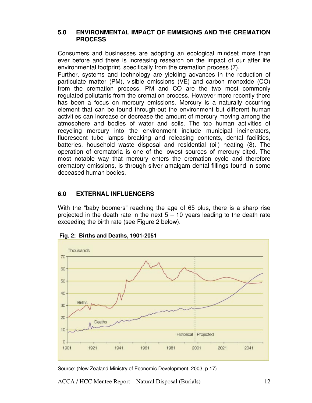#### **5.0 ENVIRONMENTAL IMPACT OF EMMISIONS AND THE CREMATION PROCESS**

Consumers and businesses are adopting an ecological mindset more than ever before and there is increasing research on the impact of our after life environmental footprint, specifically from the cremation process (7).

Further, systems and technology are yielding advances in the reduction of particulate matter (PM), visible emissions (VE) and carbon monoxide (CO) from the cremation process. PM and CO are the two most commonly regulated pollutants from the cremation process. However more recently there has been a focus on mercury emissions. Mercury is a naturally occurring element that can be found through-out the environment but different human activities can increase or decrease the amount of mercury moving among the atmosphere and bodies of water and soils. The top human activities of recycling mercury into the environment include municipal incinerators, fluorescent tube lamps breaking and releasing contents, dental facilities, batteries, household waste disposal and residential (oil) heating (8). The operation of crematoria is one of the lowest sources of mercury cited. The most notable way that mercury enters the cremation cycle and therefore crematory emissions, is through silver amalgam dental fillings found in some deceased human bodies.

# **6.0 EXTERNAL INFLUENCERS**

With the "baby boomers" reaching the age of 65 plus, there is a sharp rise projected in the death rate in the next  $5 - 10$  years leading to the death rate exceeding the birth rate (see Figure 2 below).



 **Fig. 2: Births and Deaths, 1901-2051**

Source: (New Zealand Ministry of Economic Development, 2003, p.17)

ACCA / HCC Mentee Report – Natural Disposal (Burials) 12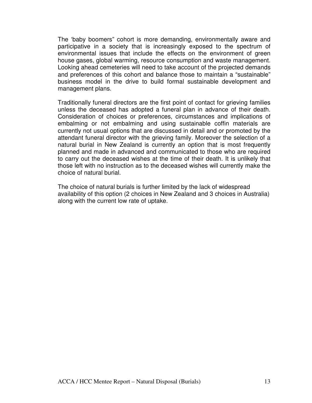The 'baby boomers" cohort is more demanding, environmentally aware and participative in a society that is increasingly exposed to the spectrum of environmental issues that include the effects on the environment of green house gases, global warming, resource consumption and waste management. Looking ahead cemeteries will need to take account of the projected demands and preferences of this cohort and balance those to maintain a "sustainable" business model in the drive to build formal sustainable development and management plans.

Traditionally funeral directors are the first point of contact for grieving families unless the deceased has adopted a funeral plan in advance of their death. Consideration of choices or preferences, circumstances and implications of embalming or not embalming and using sustainable coffin materials are currently not usual options that are discussed in detail and or promoted by the attendant funeral director with the grieving family. Moreover the selection of a natural burial in New Zealand is currently an option that is most frequently planned and made in advanced and communicated to those who are required to carry out the deceased wishes at the time of their death. It is unlikely that those left with no instruction as to the deceased wishes will currently make the choice of natural burial.

The choice of natural burials is further limited by the lack of widespread availability of this option (2 choices in New Zealand and 3 choices in Australia) along with the current low rate of uptake.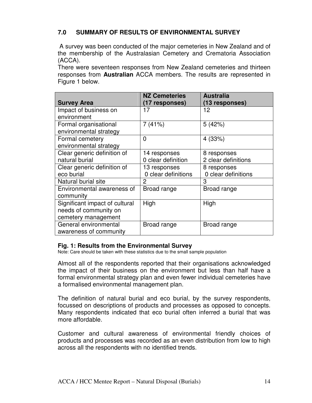# **7.0 SUMMARY OF RESULTS OF ENVIRONMENTAL SURVEY**

 A survey was been conducted of the major cemeteries in New Zealand and of the membership of the Australasian Cemetery and Crematoria Association (ACCA).

There were seventeen responses from New Zealand cemeteries and thirteen responses from **Australian** ACCA members. The results are represented in Figure 1 below.

|                                | <b>NZ Cemeteries</b> | <b>Australia</b>    |
|--------------------------------|----------------------|---------------------|
| <b>Survey Area</b>             | (17 responses)       | (13 responses)      |
| Impact of business on          | 17                   | 12                  |
| environment                    |                      |                     |
| Formal organisational          | 7(41%)               | 5(42%)              |
| environmental strategy         |                      |                     |
| Formal cemetery                | $\overline{0}$       | 4 (33%)             |
| environmental strategy         |                      |                     |
| Clear generic definition of    | 14 responses         | 8 responses         |
| natural burial                 | 0 clear definition   | 2 clear definitions |
| Clear generic definition of    | 13 responses         | 8 responses         |
| eco burial                     | 0 clear definitions  | 0 clear definitions |
| Natural burial site            | $\overline{2}$       | 3                   |
| Environmental awareness of     | Broad range          | Broad range         |
| community                      |                      |                     |
| Significant impact of cultural | High                 | High                |
| needs of community on          |                      |                     |
| cemetery management            |                      |                     |
| General environmental          | Broad range          | Broad range         |
| awareness of community         |                      |                     |

#### **Fig. 1: Results from the Environmental Survey**

Note: Care should be taken with these statistics due to the small sample population

Almost all of the respondents reported that their organisations acknowledged the impact of their business on the environment but less than half have a formal environmental strategy plan and even fewer individual cemeteries have a formalised environmental management plan.

The definition of natural burial and eco burial, by the survey respondents, focussed on descriptions of products and processes as opposed to concepts. Many respondents indicated that eco burial often inferred a burial that was more affordable.

Customer and cultural awareness of environmental friendly choices of products and processes was recorded as an even distribution from low to high across all the respondents with no identified trends.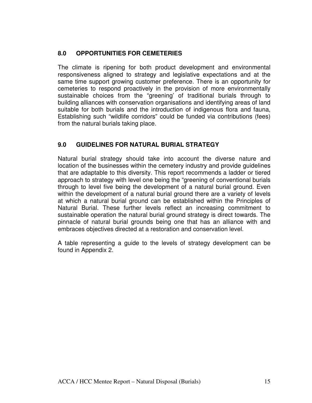# **8.0 OPPORTUNITIES FOR CEMETERIES**

The climate is ripening for both product development and environmental responsiveness aligned to strategy and legislative expectations and at the same time support growing customer preference. There is an opportunity for cemeteries to respond proactively in the provision of more environmentally sustainable choices from the "greening' of traditional burials through to building alliances with conservation organisations and identifying areas of land suitable for both burials and the introduction of indigenous flora and fauna, Establishing such "wildlife corridors" could be funded via contributions (fees) from the natural burials taking place.

# **9.0 GUIDELINES FOR NATURAL BURIAL STRATEGY**

Natural burial strategy should take into account the diverse nature and location of the businesses within the cemetery industry and provide guidelines that are adaptable to this diversity. This report recommends a ladder or tiered approach to strategy with level one being the "greening of conventional burials through to level five being the development of a natural burial ground. Even within the development of a natural burial ground there are a variety of levels at which a natural burial ground can be established within the Principles of Natural Burial. These further levels reflect an increasing commitment to sustainable operation the natural burial ground strategy is direct towards. The pinnacle of natural burial grounds being one that has an alliance with and embraces objectives directed at a restoration and conservation level.

A table representing a guide to the levels of strategy development can be found in Appendix 2.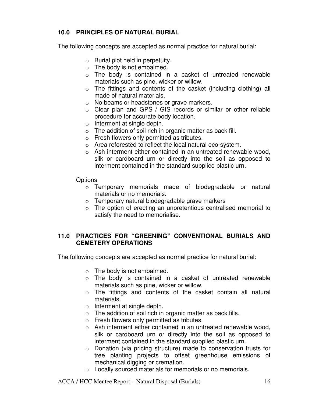# **10.0 PRINCIPLES OF NATURAL BURIAL**

The following concepts are accepted as normal practice for natural burial:

- $\circ$  Burial plot held in perpetuity.
- o The body is not embalmed.
- o The body is contained in a casket of untreated renewable materials such as pine, wicker or willow.
- o The fittings and contents of the casket (including clothing) all made of natural materials.
- o No beams or headstones or grave markers.
- o Clear plan and GPS / GIS records or similar or other reliable procedure for accurate body location.
- o Interment at single depth.
- $\circ$  The addition of soil rich in organic matter as back fill.
- o Fresh flowers only permitted as tributes.
- o Area reforested to reflect the local natural eco-system.
- o Ash interment either contained in an untreated renewable wood, silk or cardboard urn or directly into the soil as opposed to interment contained in the standard supplied plastic urn.

#### **Options**

- o Temporary memorials made of biodegradable or natural materials or no memorials.
- o Temporary natural biodegradable grave markers
- o The option of erecting an unpretentious centralised memorial to satisfy the need to memorialise.

# **11.0 PRACTICES FOR "GREENING" CONVENTIONAL BURIALS AND CEMETERY OPERATIONS**

The following concepts are accepted as normal practice for natural burial:

- $\circ$  The body is not embalmed.
- o The body is contained in a casket of untreated renewable materials such as pine, wicker or willow.
- o The fittings and contents of the casket contain all natural materials.
- o Interment at single depth.
- $\circ$  The addition of soil rich in organic matter as back fills.
- o Fresh flowers only permitted as tributes.
- o Ash interment either contained in an untreated renewable wood, silk or cardboard urn or directly into the soil as opposed to interment contained in the standard supplied plastic urn.
- o Donation (via pricing structure) made to conservation trusts for tree planting projects to offset greenhouse emissions of mechanical digging or cremation.
- o Locally sourced materials for memorials or no memorials.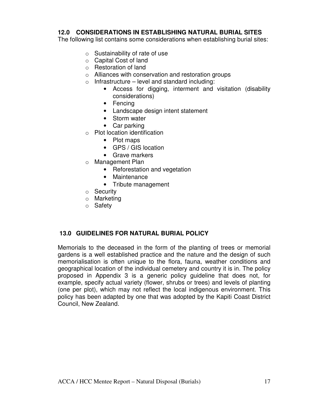# **12.0 CONSIDERATIONS IN ESTABLISHING NATURAL BURIAL SITES**

The following list contains some considerations when establishing burial sites:

- o Sustainability of rate of use
- o Capital Cost of land
- o Restoration of land
- o Alliances with conservation and restoration groups
- $\circ$  Infrastructure level and standard including:
	- Access for digging, interment and visitation (disability considerations)
	- Fencing
	- Landscape design intent statement
	- Storm water
	- Car parking
- o Plot location identification
	- Plot maps
	- GPS / GIS location
	- Grave markers
- o Management Plan
	- Reforestation and vegetation
	- Maintenance
	- Tribute management
- o Security
- o Marketing
- o Safety

# **13.0 GUIDELINES FOR NATURAL BURIAL POLICY**

Memorials to the deceased in the form of the planting of trees or memorial gardens is a well established practice and the nature and the design of such memorialisation is often unique to the flora, fauna, weather conditions and geographical location of the individual cemetery and country it is in. The policy proposed in Appendix 3 is a generic policy guideline that does not, for example, specify actual variety (flower, shrubs or trees) and levels of planting (one per plot), which may not reflect the local indigenous environment. This policy has been adapted by one that was adopted by the Kapiti Coast District Council, New Zealand.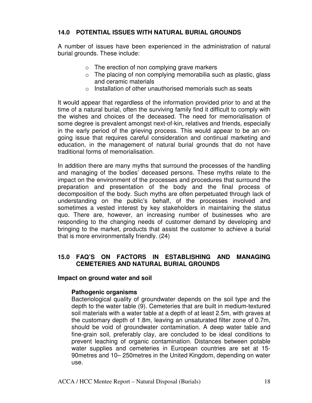#### **14.0 POTENTIAL ISSUES WITH NATURAL BURIAL GROUNDS**

A number of issues have been experienced in the administration of natural burial grounds. These include:

- $\circ$  The erection of non complying grave markers
- $\circ$  The placing of non complying memorabilia such as plastic, glass and ceramic materials
- $\circ$  Installation of other unauthorised memorials such as seats

It would appear that regardless of the information provided prior to and at the time of a natural burial, often the surviving family find it difficult to comply with the wishes and choices of the deceased. The need for memorialisation of some degree is prevalent amongst next-of-kin, relatives and friends, especially in the early period of the grieving process. This would appear to be an ongoing issue that requires careful consideration and continual marketing and education, in the management of natural burial grounds that do not have traditional forms of memorialisation.

In addition there are many myths that surround the processes of the handling and managing of the bodies' deceased persons. These myths relate to the impact on the environment of the processes and procedures that surround the preparation and presentation of the body and the final process of decomposition of the body. Such myths are often perpetuated through lack of understanding on the public's behalf, of the processes involved and sometimes a vested interest by key stakeholders in maintaining the status quo. There are, however, an increasing number of businesses who are responding to the changing needs of customer demand by developing and bringing to the market, products that assist the customer to achieve a burial that is more environmentally friendly. (24)

# **15.0 FAQ'S ON FACTORS IN ESTABLISHING AND MANAGING CEMETERIES AND NATURAL BURIAL GROUNDS**

#### **Impact on ground water and soil**

#### **Pathogenic organisms**

Bacteriological quality of groundwater depends on the soil type and the depth to the water table (9). Cemeteries that are built in medium-textured soil materials with a water table at a depth of at least 2.5m, with graves at the customary depth of 1.8m, leaving an unsaturated filter zone of 0.7m, should be void of groundwater contamination. A deep water table and fine-grain soil, preferably clay, are concluded to be ideal conditions to prevent leaching of organic contamination. Distances between potable water supplies and cemeteries in European countries are set at 15- 90metres and 10– 250metres in the United Kingdom, depending on water use.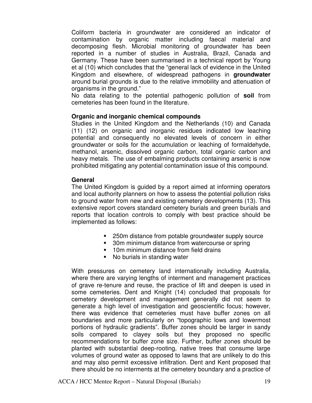Coliform bacteria in groundwater are considered an indicator of contamination by organic matter including faecal material and decomposing flesh. Microbial monitoring of groundwater has been reported in a number of studies in Australia, Brazil, Canada and Germany. These have been summarised in a technical report by Young et al (10) which concludes that the "general lack of evidence in the United Kingdom and elsewhere, of widespread pathogens in **groundwater** around burial grounds is due to the relative immobility and attenuation of organisms in the ground."

No data relating to the potential pathogenic pollution of **soil** from cemeteries has been found in the literature.

#### **Organic and inorganic chemical compounds**

Studies in the United Kingdom and the Netherlands (10) and Canada (11) (12) on organic and inorganic residues indicated low leaching potential and consequently no elevated levels of concern in either groundwater or soils for the accumulation or leaching of formaldehyde, methanol, arsenic, dissolved organic carbon, total organic carbon and heavy metals. The use of embalming products containing arsenic is now prohibited mitigating any potential contamination issue of this compound.

#### **General**

The United Kingdom is guided by a report aimed at informing operators and local authority planners on how to assess the potential pollution risks to ground water from new and existing cemetery developments (13). This extensive report covers standard cemetery burials and green burials and reports that location controls to comply with best practice should be implemented as follows:

- 250m distance from potable groundwater supply source
- 30m minimum distance from watercourse or spring
- **10m minimum distance from field drains**
- No burials in standing water

With pressures on cemetery land internationally including Australia, where there are varying lengths of interment and management practices of grave re-tenure and reuse, the practice of lift and deepen is used in some cemeteries. Dent and Knight (14) concluded that proposals for cemetery development and management generally did not seem to generate a high level of investigation and geoscientific focus; however, there was evidence that cemeteries must have buffer zones on all boundaries and more particularly on "topographic lows and lowermost portions of hydraulic gradients". Buffer zones should be larger in sandy soils compared to clayey soils but they proposed no specific recommendations for buffer zone size. Further, buffer zones should be planted with substantial deep-rooting, native trees that consume large volumes of ground water as opposed to lawns that are unlikely to do this and may also permit excessive infiltration. Dent and Kent proposed that there should be no interments at the cemetery boundary and a practice of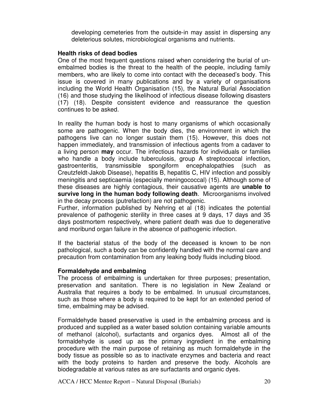developing cemeteries from the outside-in may assist in dispersing any deleterious solutes, microbiological organisms and nutrients.

#### **Health risks of dead bodies**

One of the most frequent questions raised when considering the burial of unembalmed bodies is the threat to the health of the people, including family members, who are likely to come into contact with the deceased's body. This issue is covered in many publications and by a variety of organisations including the World Health Organisation (15), the Natural Burial Association (16) and those studying the likelihood of infectious disease following disasters (17) (18). Despite consistent evidence and reassurance the question continues to be asked.

In reality the human body is host to many organisms of which occasionally some are pathogenic. When the body dies, the environment in which the pathogens live can no longer sustain them (15). However, this does not happen immediately, and transmission of infectious agents from a cadaver to a living person **may** occur. The infectious hazards for individuals or families who handle a body include tuberculosis, group A streptococcal infection, gastroenteritis, transmissible spongiform encephalopathies (such as Creutzfeldt-Jakob Disease), hepatitis B, hepatitis C, HIV infection and possibly meningitis and septicaemia (especially meningococcal) (15). Although some of these diseases are highly contagious, their causative agents are **unable to survive long in the human body following death**. Microorganisms involved in the decay process (putrefaction) are not pathogenic.

Further, information published by Nehring et al (18) indicates the potential prevalence of pathogenic sterility in three cases at 9 days, 17 days and 35 days postmortem respectively, where patient death was due to degenerative and moribund organ failure in the absence of pathogenic infection.

If the bacterial status of the body of the deceased is known to be non pathological, such a body can be confidently handled with the normal care and precaution from contamination from any leaking body fluids including blood.

#### **Formaldehyde and embalming**

The process of embalming is undertaken for three purposes; presentation, preservation and sanitation. There is no legislation in New Zealand or Australia that requires a body to be embalmed. In unusual circumstances, such as those where a body is required to be kept for an extended period of time, embalming may be advised.

Formaldehyde based preservative is used in the embalming process and is produced and supplied as a water based solution containing variable amounts of methanol (alcohol), surfactants and organics dyes. Almost all of the formaldehyde is used up as the primary ingredient in the embalming procedure with the main purpose of retaining as much formaldehyde in the body tissue as possible so as to inactivate enzymes and bacteria and react with the body proteins to harden and preserve the body. Alcohols are biodegradable at various rates as are surfactants and organic dyes.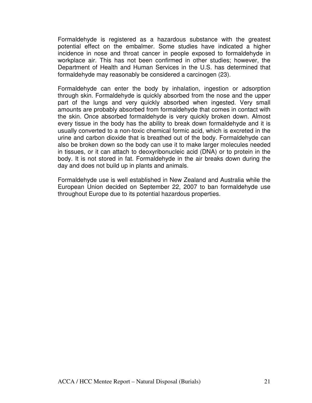Formaldehyde is registered as a hazardous substance with the greatest potential effect on the embalmer. Some studies have indicated a higher incidence in nose and throat cancer in people exposed to formaldehyde in workplace air. This has not been confirmed in other studies; however, the Department of Health and Human Services in the U.S. has determined that formaldehyde may reasonably be considered a carcinogen (23).

Formaldehyde can enter the body by inhalation, ingestion or adsorption through skin. Formaldehyde is quickly absorbed from the nose and the upper part of the lungs and very quickly absorbed when ingested. Very small amounts are probably absorbed from formaldehyde that comes in contact with the skin. Once absorbed formaldehyde is very quickly broken down. Almost every tissue in the body has the ability to break down formaldehyde and it is usually converted to a non-toxic chemical formic acid, which is excreted in the urine and carbon dioxide that is breathed out of the body. Formaldehyde can also be broken down so the body can use it to make larger molecules needed in tissues, or it can attach to deoxyribonucleic acid (DNA) or to protein in the body. It is not stored in fat. Formaldehyde in the air breaks down during the day and does not build up in plants and animals.

Formaldehyde use is well established in New Zealand and Australia while the European Union decided on September 22, 2007 to ban formaldehyde use throughout Europe due to its potential hazardous properties.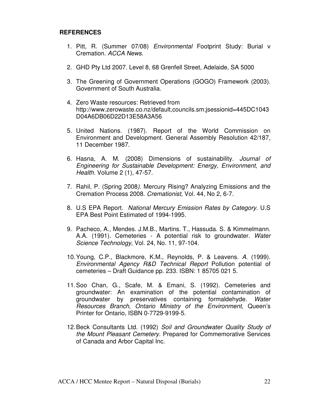#### **REFERENCES**

- 1. Pitt, R. (Summer 07/08) Environmental Footprint Study: Burial v Cremation. ACCA News.
- 2. GHD Pty Ltd 2007. Level 8, 68 Grenfell Street, Adelaide, SA 5000
- 3. The Greening of Government Operations (GOGO) Framework (2003). Government of South Australia.
- 4. Zero Waste resources: Retrieved from http://www.zerowaste.co.nz/default,councils.sm;jsessionid=445DC1043 D04A6DB06D22D13E58A3A56
- 5. United Nations. (1987). Report of the World Commission on Environment and Development. General Assembly Resolution 42/187, 11 December 1987.
- 6. Hasna, A. M. (2008) Dimensions of sustainability. Journal of Engineering for Sustainable Development: Energy, Environment, and Health. Volume 2 (1), 47-57.
- 7. Rahil, P. (Spring 2008). Mercury Rising? Analyzing Emissions and the Cremation Process 2008. Cremationist, Vol. 44, No 2, 6-7.
- 8. U.S EPA Report. National Mercury Emission Rates by Category. U.S EPA Best Point Estimated of 1994-1995.
- 9. Pacheco, A., Mendes. J.M.B., Martins. T., Hassuda. S. & Kimmelmann. A.A. (1991). Cemeteries - A potential risk to groundwater. Water Science Technology, Vol. 24, No. 11, 97-104.
- 10. Young, C.P., Blackmore, K.M., Reynolds, P. & Leavens. A. (1999). Environmental Agency R&D Technical Report Pollution potential of cemeteries – Draft Guidance pp. 233. ISBN: 1 85705 021 5.
- 11. Soo Chan, G., Scafe, M. & Emani, S. (1992). Cemeteries and groundwater: An examination of the potential contamination of groundwater by preservatives containing formaldehyde. Water Resources Branch, Ontario Ministry of the Environment, Queen's Printer for Ontario, ISBN 0-7729-9199-5.
- 12. Beck Consultants Ltd. (1992) Soil and Groundwater Quality Study of the Mount Pleasant Cemetery. Prepared for Commemorative Services of Canada and Arbor Capital Inc.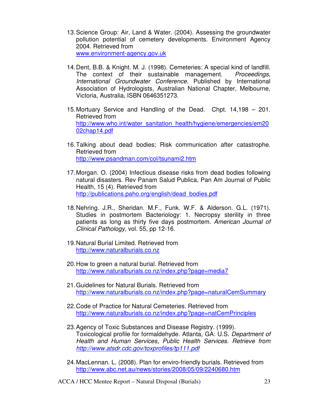- 13. Science Group: Air, Land & Water. (2004). Assessing the groundwater pollution potential of cemetery developments. Environment Agency 2004. Retrieved from www.environment-agency.gov.uk
- 14. Dent, B.B. & Knight. M. J. (1998). Cemeteries: A special kind of landfill. The context of their sustainable management. Proceedings, International Groundwater Conference. Published by International Association of Hydrologists, Australian National Chapter, Melbourne, Victoria, Australia, ISBN 0646351273.
- 15. Mortuary Service and Handling of the Dead. Chpt. 14,198 201. Retrieved from http://www.who.int/water\_sanitation\_health/hygiene/emergencies/em20 02chap14.pdf
- 16. Talking about dead bodies; Risk communication after catastrophe. Retrieved from http://www.psandman.com/col/tsunami2.htm
- 17. Morgan. O. (2004) Infectious disease risks from dead bodies following natural disasters. Rev Panam Salud Publica, Pan Am Journal of Public Health, 15 (4). Retrieved from http://publications.paho.org/english/dead\_bodies.pdf
- 18. Nehring. J.R., Sheridan. M.F., Funk. W.F. & Alderson. G.L. (1971). Studies in postmortem Bacteriology: 1. Necropsy sterility in three patients as long as thirty five days postmortem. American Journal of Clinical Pathology, vol. 55, pp 12-16.
- 19. Natural Burial Limited. Retrieved from http://www.naturalburials.co.nz
- 20. How to green a natural burial. Retrieved from http://www.naturalburials.co.nz/index.php?page=media7
- 21. Guidelines for Natural Burials. Retrieved from http://www.naturalburials.co.nz/index.php?page=naturalCemSummary
- 22. Code of Practice for Natural Cemeteries. Retrieved from http://www.naturalburials.co.nz/index.php?page=natCemPrinciples
- 23. Agency of Toxic Substances and Disease Registry. (1999). Toxicological profile for formaldehyde. Atlanta, GA: U.S. Department of Health and Human Services, Public Health Services. Retrieve from http://www.atsdr.cdc.gov/toxprofiles/tp111.pdf
- 24. MacLennan. L. (2008). Plan for enviro-friendly burials. Retrieved from http://www.abc.net.au/news/stories/2008/05/09/2240680.htm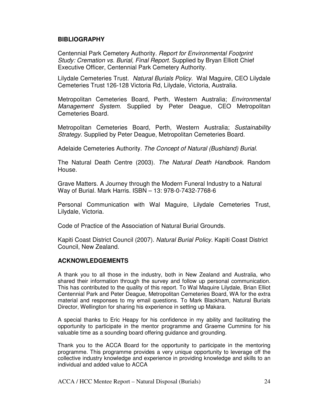#### **BIBLIOGRAPHY**

Centennial Park Cemetery Authority. Report for Environmental Footprint Study: Cremation vs. Burial, Final Report. Supplied by Bryan Elliott Chief Executive Officer, Centennial Park Cemetery Authority.

Lilydale Cemeteries Trust. Natural Burials Policy. Wal Maguire, CEO Lilydale Cemeteries Trust 126-128 Victoria Rd, Lilydale, Victoria, Australia.

Metropolitan Cemeteries Board, Perth, Western Australia; Environmental Management System. Supplied by Peter Deague, CEO Metropolitan Cemeteries Board.

Metropolitan Cemeteries Board, Perth, Western Australia; Sustainability Strategy. Supplied by Peter Deague, Metropolitan Cemeteries Board.

Adelaide Cemeteries Authority. The Concept of Natural (Bushland) Burial.

The Natural Death Centre (2003). The Natural Death Handbook. Random House.

Grave Matters. A Journey through the Modern Funeral Industry to a Natural Way of Burial. Mark Harris. ISBN – 13: 978-0-7432-7768-6

Personal Communication with Wal Maguire, Lilydale Cemeteries Trust, Lilydale, Victoria.

Code of Practice of the Association of Natural Burial Grounds.

Kapiti Coast District Council (2007). Natural Burial Policy. Kapiti Coast District Council, New Zealand.

#### **ACKNOWLEDGEMENTS**

A thank you to all those in the industry, both in New Zealand and Australia, who shared their information through the survey and follow up personal communication. This has contributed to the quality of this report. To Wal Maquire Lilydale, Brian Elliot Centennial Park and Peter Deague, Metropolitan Cemeteries Board, WA for the extra material and responses to my email questions. To Mark Blackham, Natural Burials Director, Wellington for sharing his experience in setting up Makara.

A special thanks to Eric Heapy for his confidence in my ability and facilitating the opportunity to participate in the mentor programme and Graeme Cummins for his valuable time as a sounding board offering guidance and grounding.

Thank you to the ACCA Board for the opportunity to participate in the mentoring programme. This programme provides a very unique opportunity to leverage off the collective industry knowledge and experience in providing knowledge and skills to an individual and added value to ACCA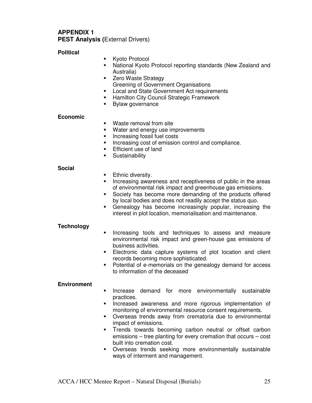#### **APPENDIX 1 PEST Analysis (**External Drivers)

#### **Political**

- Kyoto Protocol
- National Kyoto Protocol reporting standards (New Zealand and Australia)
- **EXECO Waste Strategy** Greening of Government Organisations
- **EXEC** Local and State Government Act requirements
- **Hamilton City Council Strategic Framework**
- **Bylaw governance**

#### **Economic**

- **Waste removal from site**
- **Water and energy use improvements**
- **Increasing fossil fuel costs**
- Increasing cost of emission control and compliance.
- **Efficient use of land**
- **Sustainability**

#### **Social**

- Ethnic diversity.
- **Increasing awareness and receptiveness of public in the areas** of environmental risk impact and greenhouse gas emissions.
- Society has become more demanding of the products offered by local bodies and does not readily accept the status quo.
- Genealogy has become increasingly popular, increasing the interest in plot location, memorialisation and maintenance.

#### **Technology**

- Increasing tools and techniques to assess and measure environmental risk impact and green-house gas emissions of business activities.
- **Electronic data capture systems of plot location and client** records becoming more sophisticated.
- **Potential of e-memorials on the genealogy demand for access** to information of the deceased

#### **Environment**

- **Increase demand for more environmentally sustainable** practices.
- **Increased awareness and more rigorous implementation of** monitoring of environmental resource consent requirements.
- Overseas trends away from crematoria due to environmental impact of emissions.
- **Trends towards becoming carbon neutral or offset carbon** emissions – tree planting for every cremation that occurs – cost built into cremation cost.
- **•** Overseas trends seeking more environmentally sustainable ways of interment and management.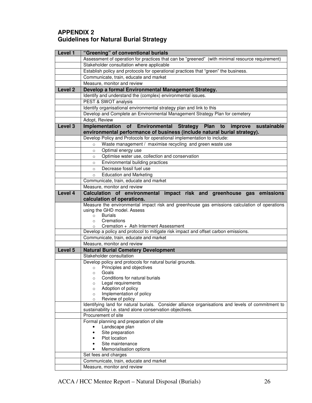# **APPENDIX 2 Guidelines for Natural Burial Strategy**

| Level 1            | "Greening" of conventional burials                                                                                                                            |  |  |  |
|--------------------|---------------------------------------------------------------------------------------------------------------------------------------------------------------|--|--|--|
|                    | Assessment of operation for practices that can be "greened" (with minimal resource requirement)                                                               |  |  |  |
|                    | Stakeholder consultation where applicable                                                                                                                     |  |  |  |
|                    | Establish policy and protocols for operational practices that "green" the business.                                                                           |  |  |  |
|                    | Communicate, train, educate and market                                                                                                                        |  |  |  |
|                    | Measure, monitor and review                                                                                                                                   |  |  |  |
| Level <sub>2</sub> | Develop a formal Environmental Management Strategy.                                                                                                           |  |  |  |
|                    | Identify and understand the (complex) environmental issues.                                                                                                   |  |  |  |
|                    | PEST & SWOT analysis                                                                                                                                          |  |  |  |
|                    | Identify organisational environmental strategy plan and link to this                                                                                          |  |  |  |
|                    | Develop and Complete an Environmental Management Strategy Plan for cemetery                                                                                   |  |  |  |
|                    | Adopt, Review                                                                                                                                                 |  |  |  |
| Level <sub>3</sub> | Implementation of Environmental Strategy Plan to improve<br>sustainable                                                                                       |  |  |  |
|                    | environmental performance of business (include natural burial strategy).                                                                                      |  |  |  |
|                    | Develop Policy and Protocols for operational implementation to include:                                                                                       |  |  |  |
|                    | Waste management / maximise recycling and green waste use<br>$\circ$                                                                                          |  |  |  |
|                    | Optimal energy use<br>$\circ$                                                                                                                                 |  |  |  |
|                    | Optimise water use, collection and conservation<br>$\circ$                                                                                                    |  |  |  |
|                    | Environmental building practices<br>$\circ$                                                                                                                   |  |  |  |
|                    | Decrease fossil fuel use<br>$\circ$                                                                                                                           |  |  |  |
|                    | <b>Education and Marketing</b><br>$\circ$                                                                                                                     |  |  |  |
|                    | Communicate, train, educate and market                                                                                                                        |  |  |  |
|                    | Measure, monitor and review                                                                                                                                   |  |  |  |
| Level 4            | Calculation of environmental impact risk and greenhouse gas emissions                                                                                         |  |  |  |
|                    | calculation of operations.                                                                                                                                    |  |  |  |
|                    | Measure the environmental impact risk and greenhouse gas emissions calculation of operations                                                                  |  |  |  |
|                    | using the GHD model. Assess<br><b>Burials</b><br>$\circ$                                                                                                      |  |  |  |
|                    | Cremations<br>$\Omega$                                                                                                                                        |  |  |  |
|                    | Cremation + Ash Interment Assessment                                                                                                                          |  |  |  |
|                    | Develop a policy and protocol to mitigate risk impact and offset carbon emissions.                                                                            |  |  |  |
|                    | Communicate, train, educate and market                                                                                                                        |  |  |  |
|                    | Measure, monitor and review                                                                                                                                   |  |  |  |
| Level 5            | <b>Natural Burial Cemetery Development</b>                                                                                                                    |  |  |  |
|                    | Stakeholder consultation                                                                                                                                      |  |  |  |
|                    | Develop policy and protocols for natural burial grounds.                                                                                                      |  |  |  |
|                    | Principles and objectives<br>$\circ$                                                                                                                          |  |  |  |
|                    | Goals<br>$\circ$<br>Conditions for natural burials                                                                                                            |  |  |  |
|                    | Legal requirements<br>$\circ$                                                                                                                                 |  |  |  |
|                    | Adoption of policy<br>$\circ$                                                                                                                                 |  |  |  |
|                    | Implementation of policy<br>$\circ$                                                                                                                           |  |  |  |
|                    | Review of policy<br>$\circ$                                                                                                                                   |  |  |  |
|                    | Identifying land for natural burials. Consider alliance organisations and levels of commitment to<br>sustainability i.e. stand alone conservation objectives. |  |  |  |
|                    | Procurement of site                                                                                                                                           |  |  |  |
|                    | Formal planning and preparation of site                                                                                                                       |  |  |  |
|                    | Landscape plan                                                                                                                                                |  |  |  |
|                    | Site preparation                                                                                                                                              |  |  |  |
|                    | Plot location                                                                                                                                                 |  |  |  |
|                    | Site maintenance                                                                                                                                              |  |  |  |
|                    | Memorialisation options                                                                                                                                       |  |  |  |
|                    | Set fees and charges                                                                                                                                          |  |  |  |
|                    | Communicate, train, educate and market                                                                                                                        |  |  |  |
|                    | Measure, monitor and review                                                                                                                                   |  |  |  |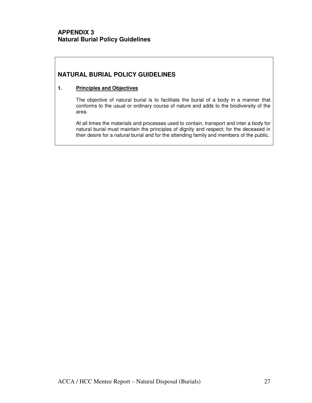#### **APPENDIX 3 Natural Burial Policy Guidelines**

# **NATURAL BURIAL POLICY GUIDELINES**

#### **1. Principles and Objectives**

The objective of natural burial is to facilitate the burial of a body in a manner that conforms to the usual or ordinary course of nature and adds to the biodiversity of the area.

At all times the materials and processes used to contain, transport and inter a body for natural burial must maintain the principles of dignity and respect; for the deceased in their desire for a natural burial and for the attending family and members of the public.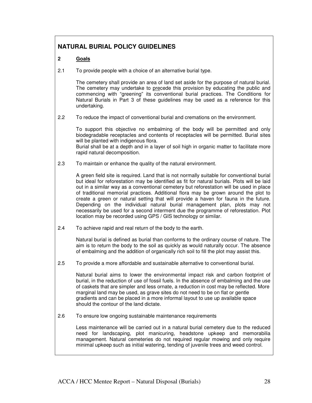# **NATURAL BURIAL POLICY GUIDELINES**

#### **2 Goals**

2.1 To provide people with a choice of an alternative burial type.

The cemetery shall provide an area of land set aside for the purpose of natural burial. The cemetery may undertake to precede this provision by educating the public and commencing with "greening" its conventional burial practices. The Conditions for Natural Burials in Part 3 of these guidelines may be used as a reference for this undertaking.

2.2 To reduce the impact of conventional burial and cremations on the environment.

To support this objective no embalming of the body will be permitted and only biodegradable receptacles and contents of receptacles will be permitted. Burial sites will be planted with indigenous flora.

Burial shall be at a depth and in a layer of soil high in organic matter to facilitate more rapid natural decomposition.

2.3 To maintain or enhance the quality of the natural environment.

A green field site is required. Land that is not normally suitable for conventional burial but ideal for reforestation may be identified as fit for natural burials. Plots will be laid out in a similar way as a conventional cemetery but reforestation will be used in place of traditional memorial practices. Additional flora may be grown around the plot to create a green or natural setting that will provide a haven for fauna in the future. Depending on the individual natural burial management plan, plots may not necessarily be used for a second interment due the programme of reforestation. Plot location may be recorded using GPS / GIS technology or similar.

2.4 To achieve rapid and real return of the body to the earth.

Natural burial is defined as burial than conforms to the ordinary course of nature. The aim is to return the body to the soil as quickly as would naturally occur. The absence of embalming and the addition of organically rich soil to fill the plot may assist this.

2.5 To provide a more affordable and sustainable alternative to conventional burial.

Natural burial aims to lower the environmental impact risk and carbon footprint of burial, in the reduction of use of fossil fuels. In the absence of embalming and the use of caskets that are simpler and less ornate, a reduction in cost may be reflected. More marginal land may be used, as grave sites do not need to be on flat or gentle gradients and can be placed in a more informal layout to use up available space should the contour of the land dictate.

2.6 To ensure low ongoing sustainable maintenance requirements

Less maintenance will be carried out in a natural burial cemetery due to the reduced need for landscaping, plot manicuring, headstone upkeep and memorabilia management. Natural cemeteries do not required regular mowing and only require minimal upkeep such as initial watering, tending of juvenile trees and weed control.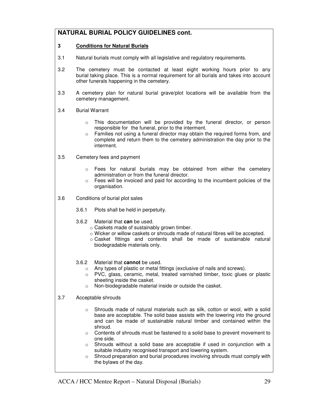# **NATURAL BURIAL POLICY GUIDELINES cont.**

#### **3 Conditions for Natural Burials**

- 3.1 Natural burials must comply with all legislative and regulatory requirements.
- 3.2 The cemetery must be contacted at least eight working hours prior to any burial taking place. This is a normal requirement for all burials and takes into account other funerals happening in the cemetery.
- 3.3 A cemetery plan for natural burial grave/plot locations will be available from the cemetery management.
- 3.4 Burial Warrant
	- o This documentation will be provided by the funeral director, or person responsible for the funeral, prior to the interment.
	- o Families not using a funeral director may obtain the required forms from, and complete and return them to the cemetery administration the day prior to the interment.
- 3.5 Cemetery fees and payment
	- $\circ$  Fees for natural burials may be obtained from either the cemetery administration or from the funeral director.
	- $\circ$  Fees will be invoiced and paid for according to the incumbent policies of the organisation.
- 3.6 Conditions of burial plot sales
	- 3.6.1 Plots shall be held in perpetuity.
	- 3.6.2 Material that **can** be used.
		- o Caskets made of sustainably grown timber.
		- o Wicker or willow caskets or shrouds made of natural fibres will be accepted.
		- $\circ$  Casket fittings and contents shall be made of sustainable natural biodegradable materials only.
	- 3.6.2 Material that **cannot** be used.
		- o Any types of plastic or metal fittings (exclusive of nails and screws).
		- o PVC, glass, ceramic, metal, treated varnished timber, toxic glues or plastic sheeting inside the casket.
		- o Non-biodegradable material inside or outside the casket.
- 3.7 Acceptable shrouds
	- o Shrouds made of natural materials such as silk, cotton or wool, with a solid base are acceptable. The solid base assists with the lowering into the ground and can be made of sustainable natural timber and contained within the shroud.
	- $\circ$  Contents of shrouds must be fastened to a solid base to prevent movement to one side.
	- o Shrouds without a solid base are acceptable if used in conjunction with a suitable industry recognised transport and lowering system.
	- $\circ$  Shroud preparation and burial procedures involving shrouds must comply with the bylaws of the day.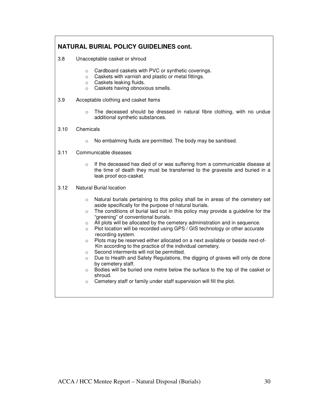#### **NATURAL BURIAL POLICY GUIDELINES cont.**

- 3.8 Unacceptable casket or shroud
	- o Cardboard caskets with PVC or synthetic coverings.
	- o Caskets with varnish and plastic or metal fittings.
	- o Caskets leaking fluids.
	- o Caskets having obnoxious smells.
- 3.9 Acceptable clothing and casket Items
	- $\circ$  The deceased should be dressed in natural fibre clothing, with no undue additional synthetic substances.
- 3.10 Chemicals
	- o No embalming fluids are permitted. The body may be sanitised.
- 3.11 Communicable diseases
	- $\circ$  If the deceased has died of or was suffering from a communicable disease at the time of death they must be transferred to the gravesite and buried in a leak proof eco-casket.
- 3.12 Natural Burial location
	- $\circ$  Natural burials pertaining to this policy shall be in areas of the cemetery set aside specifically for the purpose of natural burials.
	- $\circ$  The conditions of burial laid out in this policy may provide a guideline for the "greening" of conventional burials.
	- o All plots will be allocated by the cemetery administration and in sequence.
	- $\circ$  Plot location will be recorded using GPS / GIS technology or other accurate recording system.
	- o Plots may be reserved either allocated on a next available or beside next-of- Kin according to the practice of the individual cemetery.
	- o Second interments will not be permitted.
	- o Due to Health and Safety Regulations, the digging of graves will only de done by cemetery staff.
	- o Bodies will be buried one metre below the surface to the top of the casket or shroud.
	- o Cemetery staff or family under staff supervision will fill the plot.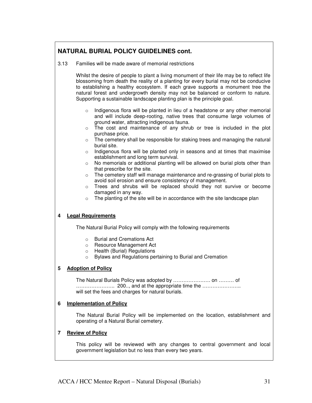# **NATURAL BURIAL POLICY GUIDELINES cont.**

3.13 Families will be made aware of memorial restrictions

Whilst the desire of people to plant a living monument of their life may be to reflect life blossoming from death the reality of a planting for every burial may not be conducive to establishing a healthy ecosystem. If each grave supports a monument tree the natural forest and undergrowth density may not be balanced or conform to nature. Supporting a sustainable landscape planting plan is the principle goal.

- $\circ$  Indigenous flora will be planted in lieu of a headstone or any other memorial and will include deep-rooting, native trees that consume large volumes of ground water, attracting indigenous fauna.
- $\circ$  The cost and maintenance of any shrub or tree is included in the plot purchase price.
- $\circ$  The cemetery shall be responsible for staking trees and managing the natural burial site.
- o Indigenous flora will be planted only in seasons and at times that maximise establishment and long term survival.
- o No memorials or additional planting will be allowed on burial plots other than that prescribe for the site.
- $\circ$  The cemetery staff will manage maintenance and re-grassing of burial plots to avoid soil erosion and ensure consistency of management.
- $\circ$  Trees and shrubs will be replaced should they not survive or become damaged in any way.
- o The planting of the site will be in accordance with the site landscape plan

#### **4 Legal Requirements**

The Natural Burial Policy will comply with the following requirements

- o Burial and Cremations Act
- o Resource Management Act
- o Health (Burial) Regulations
- o Bylaws and Regulations pertaining to Burial and Cremation

#### **5 Adoption of Policy**

The Natural Burials Policy was adopted by …………………. on ……… of ………………….. 200.., and at the appropriate time the ………………….. will set the fees and charges for natural burials.

#### **6 Implementation of Policy**

The Natural Burial Policy will be implemented on the location, establishment and operating of a Natural Burial cemetery.

#### **7 Review of Policy**

This policy will be reviewed with any changes to central government and local government legislation but no less than every two years.